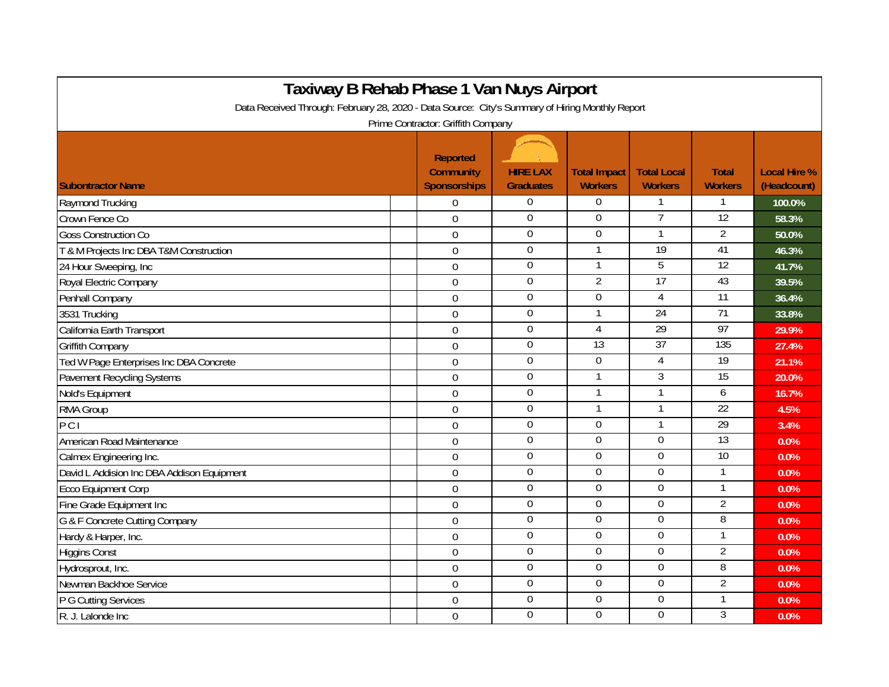| Taxiway B Rehab Phase 1 Van Nuys Airport<br>Data Received Through: February 28, 2020 - Data Source: City's Summary of Hiring Monthly Report |                                                     |                                     |                                       |                                      |                                |                                    |  |  |  |  |  |
|---------------------------------------------------------------------------------------------------------------------------------------------|-----------------------------------------------------|-------------------------------------|---------------------------------------|--------------------------------------|--------------------------------|------------------------------------|--|--|--|--|--|
|                                                                                                                                             |                                                     |                                     |                                       |                                      |                                |                                    |  |  |  |  |  |
| <b>Subontractor Name</b>                                                                                                                    | Reported<br><b>Community</b><br><b>Sponsorships</b> | <b>HIRE LAX</b><br><b>Graduates</b> | <b>Total Impact</b><br><b>Workers</b> | <b>Total Local</b><br><b>Workers</b> | <b>Total</b><br><b>Workers</b> | <b>Local Hire %</b><br>(Headcount) |  |  |  |  |  |
| Raymond Trucking                                                                                                                            | $\Omega$                                            | $\mathbf{0}$                        | $\Omega$                              | $\mathbf{1}$                         | 1                              | 100.0%                             |  |  |  |  |  |
| Crown Fence Co                                                                                                                              | $\mathbf 0$                                         | $\mathbf 0$                         | $\Omega$                              | $\overline{7}$                       | $\overline{12}$                | 58.3%                              |  |  |  |  |  |
| <b>Goss Construction Co</b>                                                                                                                 | $\mathbf 0$                                         | $\boldsymbol{0}$                    | $\Omega$                              | 1                                    | $\overline{2}$                 | 50.0%                              |  |  |  |  |  |
| T & M Projects Inc DBA T&M Construction                                                                                                     | $\mathbf 0$                                         | $\pmb{0}$                           |                                       | $\overline{19}$                      | 41                             | 46.3%                              |  |  |  |  |  |
| 24 Hour Sweeping, Inc                                                                                                                       | $\mathbf 0$                                         | $\boldsymbol{0}$                    |                                       | 5                                    | $\overline{12}$                | 41.7%                              |  |  |  |  |  |
| Royal Electric Company                                                                                                                      | $\mathbf 0$                                         | $\boldsymbol{0}$                    | $\overline{2}$                        | 17                                   | 43                             | 39.5%                              |  |  |  |  |  |
| Penhall Company                                                                                                                             | $\mathbf 0$                                         | $\boldsymbol{0}$                    | $\boldsymbol{0}$                      | 4                                    | $\overline{11}$                | 36.4%                              |  |  |  |  |  |
| 3531 Trucking                                                                                                                               | $\mathbf 0$                                         | $\overline{0}$                      |                                       | 24                                   | 71                             | 33.8%                              |  |  |  |  |  |
| California Earth Transport                                                                                                                  | $\mathbf 0$                                         | $\boldsymbol{0}$                    | $\overline{4}$                        | $\overline{29}$                      | 97                             | 29.9%                              |  |  |  |  |  |
| Griffith Company                                                                                                                            | $\mathbf 0$                                         | $\boldsymbol{0}$                    | $\overline{13}$                       | $\overline{37}$                      | 135                            | 27.4%                              |  |  |  |  |  |
| Ted W Page Enterprises Inc DBA Concrete                                                                                                     | $\overline{0}$                                      | $\mathbf 0$                         | $\overline{0}$                        | 4                                    | 19                             | 21.1%                              |  |  |  |  |  |
| Pavement Recycling Systems                                                                                                                  | $\Omega$                                            | $\overline{0}$                      |                                       | 3                                    | 15                             | 20.0%                              |  |  |  |  |  |
| Nold's Equipment                                                                                                                            | $\overline{0}$                                      | $\boldsymbol{0}$                    |                                       | 1                                    | 6                              | 16.7%                              |  |  |  |  |  |
| RMA Group                                                                                                                                   | $\overline{0}$                                      | $\mathbf 0$                         |                                       |                                      | 22                             | 4.5%                               |  |  |  |  |  |
| $\overline{PC}$                                                                                                                             | $\Omega$                                            | $\mathbf{0}$                        | $\Omega$                              | 1                                    | $\overline{29}$                | 3.4%                               |  |  |  |  |  |
| American Road Maintenance                                                                                                                   | $\mathbf 0$                                         | $\boldsymbol{0}$                    | $\mathbf 0$                           | 0                                    | 13                             | 0.0%                               |  |  |  |  |  |
| Calmex Engineering Inc.                                                                                                                     | $\mathbf 0$                                         | $\mathbf{0}$                        | $\overline{0}$                        | 0                                    | 10                             | 0.0%                               |  |  |  |  |  |
| David L Addision Inc DBA Addison Equipment                                                                                                  | $\mathbf 0$                                         | $\Omega$                            | $\overline{0}$                        | 0                                    | 1                              | 0.0%                               |  |  |  |  |  |
| <b>Ecco Equipment Corp</b>                                                                                                                  | $\mathbf 0$                                         | $\boldsymbol{0}$                    | $\boldsymbol{0}$                      | $\Omega$                             | 1                              | 0.0%                               |  |  |  |  |  |
| Fine Grade Equipment Inc                                                                                                                    | $\mathbf 0$                                         | $\overline{0}$                      | $\overline{0}$                        | $\overline{0}$                       | $\overline{2}$                 | 0.0%                               |  |  |  |  |  |
| G & F Concrete Cutting Company                                                                                                              | $\overline{0}$                                      | $\boldsymbol{0}$                    | $\mathbf 0$                           | $\mathbf 0$                          | 8                              | 0.0%                               |  |  |  |  |  |
| Hardy & Harper, Inc.                                                                                                                        | $\mathbf 0$                                         | $\boldsymbol{0}$                    | $\mathbf 0$                           | $\mathbf 0$                          | 1                              | 0.0%                               |  |  |  |  |  |
| <b>Higgins Const</b>                                                                                                                        | $\overline{0}$                                      | $\overline{0}$                      | $\mathbf 0$                           | 0                                    | $\overline{2}$                 | 0.0%                               |  |  |  |  |  |
| Hydrosprout, Inc.                                                                                                                           | $\overline{0}$                                      | $\overline{0}$                      | $\Omega$                              | $\overline{0}$                       | 8                              | 0.0%                               |  |  |  |  |  |
| Newman Backhoe Service                                                                                                                      | $\mathbf 0$                                         | $\overline{0}$                      | $\boldsymbol{0}$                      | $\overline{0}$                       | $\overline{2}$                 | 0.0%                               |  |  |  |  |  |
| P G Cutting Services                                                                                                                        | $\overline{0}$                                      | $\boldsymbol{0}$                    | $\mathbf 0$                           | 0                                    | 1                              | 0.0%                               |  |  |  |  |  |
| R. J. Lalonde Inc                                                                                                                           | $\Omega$                                            | $\mathbf 0$                         | $\Omega$                              | $\overline{0}$                       | 3                              | 0.0%                               |  |  |  |  |  |